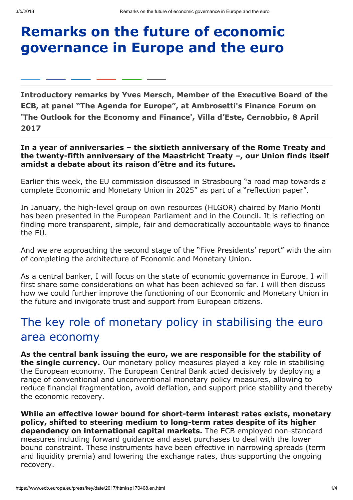# Remarks on the future of economic governance in Europe and the euro

Introductory remarks by Yves Mersch, Member of the Executive Board of the ECB, at panel "The Agenda for Europe", at Ambrosetti's Finance Forum on 'The Outlook for the Economy and Finance', Villa d'Este, Cernobbio, 8 April 2017

### In a year of anniversaries – the sixtieth anniversary of the Rome Treaty and the twenty-fifth anniversary of the Maastricht Treaty –, our Union finds itself amidst a debate about its raison d'être and its future.

Earlier this week, the EU commission discussed in Strasbourg "a road map towards a complete Economic and Monetary Union in 2025" as part of a "reflection paper".

In January, the high-level group on own resources (HLGOR) chaired by Mario Monti has been presented in the European Parliament and in the Council. It is reflecting on finding more transparent, simple, fair and democratically accountable ways to finance the EU.

And we are approaching the second stage of the "Five Presidents' report" with the aim of completing the architecture of Economic and Monetary Union.

As a central banker, I will focus on the state of economic governance in Europe. I will first share some considerations on what has been achieved so far. I will then discuss how we could further improve the functioning of our Economic and Monetary Union in the future and invigorate trust and support from European citizens.

# The key role of monetary policy in stabilising the euro area economy

As the central bank issuing the euro, we are responsible for the stability of the single currency. Our monetary policy measures played a key role in stabilising the European economy. The European Central Bank acted decisively by deploying a range of conventional and unconventional monetary policy measures, allowing to reduce financial fragmentation, avoid deflation, and support price stability and thereby the economic recovery.

While an effective lower bound for short-term interest rates exists, monetary policy, shifted to steering medium to long-term rates despite of its higher dependency on international capital markets. The ECB employed non-standard measures including forward guidance and asset purchases to deal with the lower bound constraint. These instruments have been effective in narrowing spreads (term and liquidity premia) and lowering the exchange rates, thus supporting the ongoing recovery.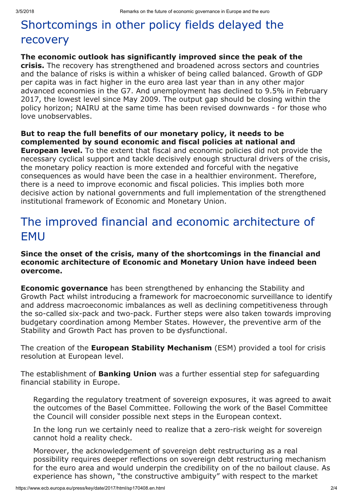# Shortcomings in other policy fields delayed the recovery

### The economic outlook has significantly improved since the peak of the

crisis. The recovery has strengthened and broadened across sectors and countries and the balance of risks is within a whisker of being called balanced. Growth of GDP per capita was in fact higher in the euro area last year than in any other major advanced economies in the G7. And unemployment has declined to 9.5% in February 2017, the lowest level since May 2009. The output gap should be closing within the policy horizon; NAIRU at the same time has been revised downwards - for those who love unobservables.

### But to reap the full benefits of our monetary policy, it needs to be complemented by sound economic and fiscal policies at national and

**European level.** To the extent that fiscal and economic policies did not provide the necessary cyclical support and tackle decisively enough structural drivers of the crisis, the monetary policy reaction is more extended and forceful with the negative consequences as would have been the case in a healthier environment. Therefore, there is a need to improve economic and fiscal policies. This implies both more decisive action by national governments and full implementation of the strengthened institutional framework of Economic and Monetary Union.

## The improved financial and economic architecture of EMU

#### Since the onset of the crisis, many of the shortcomings in the financial and economic architecture of Economic and Monetary Union have indeed been overcome.

**Economic governance** has been strengthened by enhancing the Stability and Growth Pact whilst introducing a framework for macroeconomic surveillance to identify and address macroeconomic imbalances as well as declining competitiveness through the so-called six-pack and two-pack. Further steps were also taken towards improving budgetary coordination among Member States. However, the preventive arm of the Stability and Growth Pact has proven to be dysfunctional.

The creation of the **European Stability Mechanism** (ESM) provided a tool for crisis resolution at European level.

The establishment of **Banking Union** was a further essential step for safeguarding financial stability in Europe.

Regarding the regulatory treatment of sovereign exposures, it was agreed to await the outcomes of the Basel Committee. Following the work of the Basel Committee the Council will consider possible next steps in the European context.

In the long run we certainly need to realize that a zero-risk weight for sovereign cannot hold a reality check.

Moreover, the acknowledgement of sovereign debt restructuring as a real possibility requires deeper reflections on sovereign debt restructuring mechanism for the euro area and would underpin the credibility on of the no bailout clause. As experience has shown, "the constructive ambiguity" with respect to the market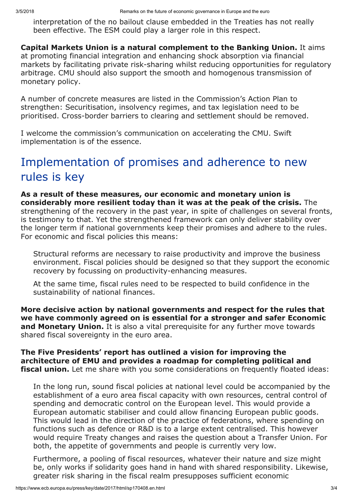interpretation of the no bailout clause embedded in the Treaties has not really been effective. The ESM could play a larger role in this respect.

Capital Markets Union is a natural complement to the Banking Union. It aims at promoting financial integration and enhancing shock absorption via financial markets by facilitating private risk-sharing whilst reducing opportunities for regulatory arbitrage. CMU should also support the smooth and homogenous transmission of monetary policy.

A number of concrete measures are listed in the Commission's Action Plan to strengthen: Securitisation, insolvency regimes, and tax legislation need to be prioritised. Cross-border barriers to clearing and settlement should be removed.

I welcome the commission's communication on accelerating the CMU. Swift implementation is of the essence.

# Implementation of promises and adherence to new rules is key

As a result of these measures, our economic and monetary union is considerably more resilient today than it was at the peak of the crisis. The strengthening of the recovery in the past year, in spite of challenges on several fronts, is testimony to that. Yet the strengthened framework can only deliver stability over the longer term if national governments keep their promises and adhere to the rules. For economic and fiscal policies this means:

Structural reforms are necessary to raise productivity and improve the business environment. Fiscal policies should be designed so that they support the economic recovery by focussing on productivity-enhancing measures.

At the same time, fiscal rules need to be respected to build confidence in the sustainability of national finances.

More decisive action by national governments and respect for the rules that we have commonly agreed on is essential for a stronger and safer Economic and Monetary Union. It is also a vital prerequisite for any further move towards shared fiscal sovereignty in the euro area.

The Five Presidents' report has outlined a vision for improving the architecture of EMU and provides a roadmap for completing political and **fiscal union.** Let me share with you some considerations on frequently floated ideas:

In the long run, sound fiscal policies at national level could be accompanied by the establishment of a euro area fiscal capacity with own resources, central control of spending and democratic control on the European level. This would provide a European automatic stabiliser and could allow financing European public goods. This would lead in the direction of the practice of federations, where spending on functions such as defence or R&D is to a large extent centralised. This however would require Treaty changes and raises the question about a Transfer Union. For both, the appetite of governments and people is currently very low.

Furthermore, a pooling of fiscal resources, whatever their nature and size might be, only works if solidarity goes hand in hand with shared responsibility. Likewise, greater risk sharing in the fiscal realm presupposes sufficient economic